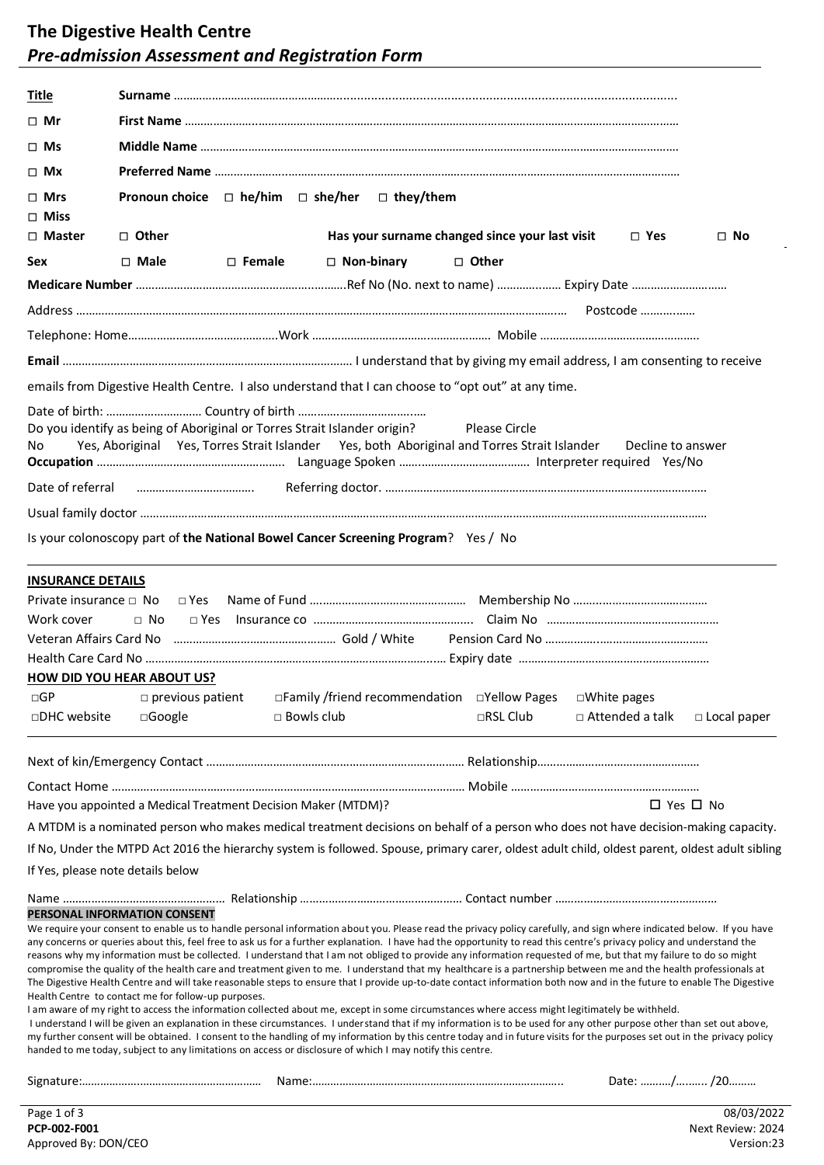## **The Digestive Health Centre** *Pre-admission Assessment and Registration Form*

| <u>Title</u>                              |                                                                                                                                                                                                  |               |                   |                  |                                                                                                              |                                                                                                                                                                                                                                                                                                                                                                                                                                                                                                                                                                                                                                                                                                                                                                                                                                                                                                                                                                                                                                                                                                                                                                                                                                                                                                                                                                       |                    |
|-------------------------------------------|--------------------------------------------------------------------------------------------------------------------------------------------------------------------------------------------------|---------------|-------------------|------------------|--------------------------------------------------------------------------------------------------------------|-----------------------------------------------------------------------------------------------------------------------------------------------------------------------------------------------------------------------------------------------------------------------------------------------------------------------------------------------------------------------------------------------------------------------------------------------------------------------------------------------------------------------------------------------------------------------------------------------------------------------------------------------------------------------------------------------------------------------------------------------------------------------------------------------------------------------------------------------------------------------------------------------------------------------------------------------------------------------------------------------------------------------------------------------------------------------------------------------------------------------------------------------------------------------------------------------------------------------------------------------------------------------------------------------------------------------------------------------------------------------|--------------------|
| □ Mr                                      |                                                                                                                                                                                                  |               |                   |                  |                                                                                                              |                                                                                                                                                                                                                                                                                                                                                                                                                                                                                                                                                                                                                                                                                                                                                                                                                                                                                                                                                                                                                                                                                                                                                                                                                                                                                                                                                                       |                    |
| $\square$ Ms                              |                                                                                                                                                                                                  |               |                   |                  |                                                                                                              |                                                                                                                                                                                                                                                                                                                                                                                                                                                                                                                                                                                                                                                                                                                                                                                                                                                                                                                                                                                                                                                                                                                                                                                                                                                                                                                                                                       |                    |
| $\square$ Mx                              |                                                                                                                                                                                                  |               |                   |                  |                                                                                                              |                                                                                                                                                                                                                                                                                                                                                                                                                                                                                                                                                                                                                                                                                                                                                                                                                                                                                                                                                                                                                                                                                                                                                                                                                                                                                                                                                                       |                    |
| $\Box$ Mrs<br>$\Box$ Miss                 | Pronoun choice $\Box$ he/him $\Box$ she/her                                                                                                                                                      |               |                   | $\Box$ they/them |                                                                                                              |                                                                                                                                                                                                                                                                                                                                                                                                                                                                                                                                                                                                                                                                                                                                                                                                                                                                                                                                                                                                                                                                                                                                                                                                                                                                                                                                                                       |                    |
| □ Master                                  | □ Other                                                                                                                                                                                          |               |                   |                  | Has your surname changed since your last visit                                                               | $\Box$ Yes                                                                                                                                                                                                                                                                                                                                                                                                                                                                                                                                                                                                                                                                                                                                                                                                                                                                                                                                                                                                                                                                                                                                                                                                                                                                                                                                                            | $\Box$ No          |
| Sex                                       | $\Box$ Male                                                                                                                                                                                      | $\Box$ Female | $\Box$ Non-binary |                  | □ Other                                                                                                      |                                                                                                                                                                                                                                                                                                                                                                                                                                                                                                                                                                                                                                                                                                                                                                                                                                                                                                                                                                                                                                                                                                                                                                                                                                                                                                                                                                       |                    |
|                                           |                                                                                                                                                                                                  |               |                   |                  |                                                                                                              |                                                                                                                                                                                                                                                                                                                                                                                                                                                                                                                                                                                                                                                                                                                                                                                                                                                                                                                                                                                                                                                                                                                                                                                                                                                                                                                                                                       |                    |
|                                           |                                                                                                                                                                                                  |               |                   |                  |                                                                                                              |                                                                                                                                                                                                                                                                                                                                                                                                                                                                                                                                                                                                                                                                                                                                                                                                                                                                                                                                                                                                                                                                                                                                                                                                                                                                                                                                                                       |                    |
|                                           |                                                                                                                                                                                                  |               |                   |                  |                                                                                                              |                                                                                                                                                                                                                                                                                                                                                                                                                                                                                                                                                                                                                                                                                                                                                                                                                                                                                                                                                                                                                                                                                                                                                                                                                                                                                                                                                                       |                    |
|                                           |                                                                                                                                                                                                  |               |                   |                  |                                                                                                              |                                                                                                                                                                                                                                                                                                                                                                                                                                                                                                                                                                                                                                                                                                                                                                                                                                                                                                                                                                                                                                                                                                                                                                                                                                                                                                                                                                       |                    |
|                                           |                                                                                                                                                                                                  |               |                   |                  | emails from Digestive Health Centre. I also understand that I can choose to "opt out" at any time.           |                                                                                                                                                                                                                                                                                                                                                                                                                                                                                                                                                                                                                                                                                                                                                                                                                                                                                                                                                                                                                                                                                                                                                                                                                                                                                                                                                                       |                    |
| No.                                       | Do you identify as being of Aboriginal or Torres Strait Islander origin?                                                                                                                         |               |                   |                  | Please Circle<br>Yes, Aboriginal Yes, Torres Strait Islander Yes, both Aboriginal and Torres Strait Islander | Decline to answer                                                                                                                                                                                                                                                                                                                                                                                                                                                                                                                                                                                                                                                                                                                                                                                                                                                                                                                                                                                                                                                                                                                                                                                                                                                                                                                                                     |                    |
| Date of referral                          |                                                                                                                                                                                                  |               |                   |                  |                                                                                                              |                                                                                                                                                                                                                                                                                                                                                                                                                                                                                                                                                                                                                                                                                                                                                                                                                                                                                                                                                                                                                                                                                                                                                                                                                                                                                                                                                                       |                    |
|                                           |                                                                                                                                                                                                  |               |                   |                  |                                                                                                              |                                                                                                                                                                                                                                                                                                                                                                                                                                                                                                                                                                                                                                                                                                                                                                                                                                                                                                                                                                                                                                                                                                                                                                                                                                                                                                                                                                       |                    |
|                                           | Is your colonoscopy part of the National Bowel Cancer Screening Program? Yes / No                                                                                                                |               |                   |                  |                                                                                                              |                                                                                                                                                                                                                                                                                                                                                                                                                                                                                                                                                                                                                                                                                                                                                                                                                                                                                                                                                                                                                                                                                                                                                                                                                                                                                                                                                                       |                    |
| Private insurance $\Box$ No<br>Work cover | $\Box$ Yes<br>$\Box$ No<br>$\sqcap$ Yes<br><b>HOW DID YOU HEAR ABOUT US?</b>                                                                                                                     |               |                   |                  |                                                                                                              |                                                                                                                                                                                                                                                                                                                                                                                                                                                                                                                                                                                                                                                                                                                                                                                                                                                                                                                                                                                                                                                                                                                                                                                                                                                                                                                                                                       |                    |
| $\Box GP$<br>□DHC website                 | $\square$ previous patient<br>□Google                                                                                                                                                            |               | $\Box$ Bowls club |                  | □Family /friend recommendation □Yellow Pages<br>□RSL Club                                                    | □White pages<br>□ Attended a talk                                                                                                                                                                                                                                                                                                                                                                                                                                                                                                                                                                                                                                                                                                                                                                                                                                                                                                                                                                                                                                                                                                                                                                                                                                                                                                                                     | $\Box$ Local paper |
|                                           |                                                                                                                                                                                                  |               |                   |                  |                                                                                                              |                                                                                                                                                                                                                                                                                                                                                                                                                                                                                                                                                                                                                                                                                                                                                                                                                                                                                                                                                                                                                                                                                                                                                                                                                                                                                                                                                                       |                    |
|                                           |                                                                                                                                                                                                  |               |                   |                  |                                                                                                              |                                                                                                                                                                                                                                                                                                                                                                                                                                                                                                                                                                                                                                                                                                                                                                                                                                                                                                                                                                                                                                                                                                                                                                                                                                                                                                                                                                       |                    |
|                                           | Have you appointed a Medical Treatment Decision Maker (MTDM)?                                                                                                                                    |               |                   |                  |                                                                                                              |                                                                                                                                                                                                                                                                                                                                                                                                                                                                                                                                                                                                                                                                                                                                                                                                                                                                                                                                                                                                                                                                                                                                                                                                                                                                                                                                                                       | □ Yes □ No         |
|                                           |                                                                                                                                                                                                  |               |                   |                  |                                                                                                              | A MTDM is a nominated person who makes medical treatment decisions on behalf of a person who does not have decision-making capacity.                                                                                                                                                                                                                                                                                                                                                                                                                                                                                                                                                                                                                                                                                                                                                                                                                                                                                                                                                                                                                                                                                                                                                                                                                                  |                    |
|                                           |                                                                                                                                                                                                  |               |                   |                  |                                                                                                              | If No, Under the MTPD Act 2016 the hierarchy system is followed. Spouse, primary carer, oldest adult child, oldest parent, oldest adult sibling                                                                                                                                                                                                                                                                                                                                                                                                                                                                                                                                                                                                                                                                                                                                                                                                                                                                                                                                                                                                                                                                                                                                                                                                                       |                    |
|                                           | If Yes, please note details below                                                                                                                                                                |               |                   |                  |                                                                                                              |                                                                                                                                                                                                                                                                                                                                                                                                                                                                                                                                                                                                                                                                                                                                                                                                                                                                                                                                                                                                                                                                                                                                                                                                                                                                                                                                                                       |                    |
|                                           | PERSONAL INFORMATION CONSENT<br>Health Centre to contact me for follow-up purposes.<br>handed to me today, subject to any limitations on access or disclosure of which I may notify this centre. |               |                   |                  |                                                                                                              | We require your consent to enable us to handle personal information about you. Please read the privacy policy carefully, and sign where indicated below. If you have<br>any concerns or queries about this, feel free to ask us for a further explanation. I have had the opportunity to read this centre's privacy policy and understand the<br>reasons why my information must be collected. I understand that I am not obliged to provide any information requested of me, but that my failure to do so might<br>compromise the quality of the health care and treatment given to me. I understand that my healthcare is a partnership between me and the health professionals at<br>The Digestive Health Centre and will take reasonable steps to ensure that I provide up-to-date contact information both now and in the future to enable The Digestive<br>I am aware of my right to access the information collected about me, except in some circumstances where access might legitimately be withheld.<br>I understand I will be given an explanation in these circumstances. I understand that if my information is to be used for any other purpose other than set out above,<br>my further consent will be obtained. I consent to the handling of my information by this centre today and in future visits for the purposes set out in the privacy policy |                    |
|                                           |                                                                                                                                                                                                  |               |                   |                  |                                                                                                              |                                                                                                                                                                                                                                                                                                                                                                                                                                                                                                                                                                                                                                                                                                                                                                                                                                                                                                                                                                                                                                                                                                                                                                                                                                                                                                                                                                       | Date: / /20        |
| Page 1 of 3                               |                                                                                                                                                                                                  |               |                   |                  |                                                                                                              |                                                                                                                                                                                                                                                                                                                                                                                                                                                                                                                                                                                                                                                                                                                                                                                                                                                                                                                                                                                                                                                                                                                                                                                                                                                                                                                                                                       | 08/03/2022         |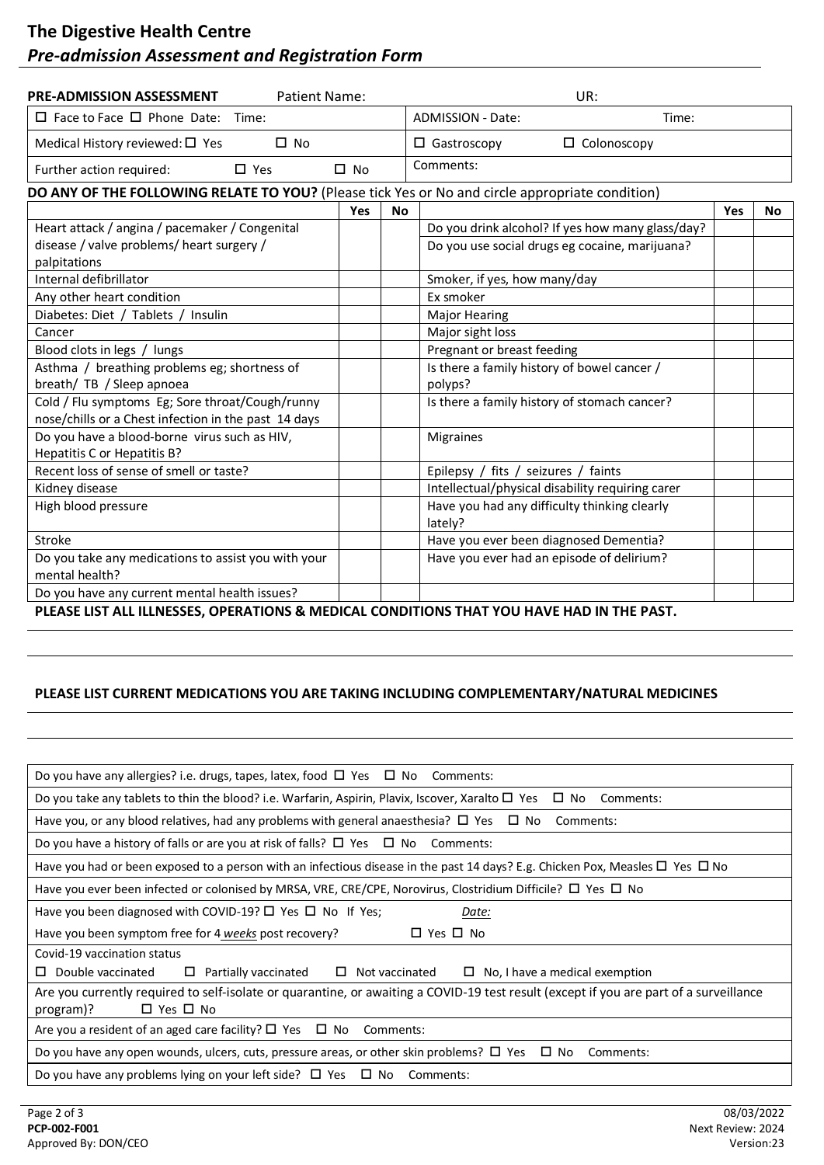## **The Digestive Health Centre** *Pre-admission Assessment and Registration Form*

| <b>PRE-ADMISSION ASSESSMENT</b><br><b>Patient Name:</b>                                                 |            |           | UR:                                                     |     |           |  |  |
|---------------------------------------------------------------------------------------------------------|------------|-----------|---------------------------------------------------------|-----|-----------|--|--|
| $\Box$ Face to Face $\Box$ Phone Date: Time:                                                            |            |           | <b>ADMISSION - Date:</b><br>Time:                       |     |           |  |  |
| Medical History reviewed: $\square$ Yes<br>$\Box$ No                                                    |            |           | $\Box$ Gastroscopy<br>$\Box$ Colonoscopy                |     |           |  |  |
| Further action required:<br>$\Box$ Yes                                                                  | $\Box$ No  |           | Comments:                                               |     |           |  |  |
| DO ANY OF THE FOLLOWING RELATE TO YOU? (Please tick Yes or No and circle appropriate condition)         |            |           |                                                         |     |           |  |  |
|                                                                                                         | <b>Yes</b> | <b>No</b> |                                                         | Yes | <b>No</b> |  |  |
| Heart attack / angina / pacemaker / Congenital                                                          |            |           | Do you drink alcohol? If yes how many glass/day?        |     |           |  |  |
| disease / valve problems/ heart surgery /<br>palpitations                                               |            |           | Do you use social drugs eg cocaine, marijuana?          |     |           |  |  |
| Internal defibrillator                                                                                  |            |           | Smoker, if yes, how many/day                            |     |           |  |  |
| Any other heart condition                                                                               |            |           | Ex smoker                                               |     |           |  |  |
| Diabetes: Diet / Tablets / Insulin                                                                      |            |           | <b>Major Hearing</b>                                    |     |           |  |  |
| Cancer                                                                                                  |            |           | Major sight loss                                        |     |           |  |  |
| Blood clots in legs / lungs                                                                             |            |           | Pregnant or breast feeding                              |     |           |  |  |
| Asthma / breathing problems eg; shortness of                                                            |            |           | Is there a family history of bowel cancer /             |     |           |  |  |
| breath/ TB / Sleep apnoea                                                                               |            |           | polyps?                                                 |     |           |  |  |
| Cold / Flu symptoms Eg; Sore throat/Cough/runny<br>nose/chills or a Chest infection in the past 14 days |            |           | Is there a family history of stomach cancer?            |     |           |  |  |
| Do you have a blood-borne virus such as HIV,<br>Hepatitis C or Hepatitis B?                             |            |           | <b>Migraines</b>                                        |     |           |  |  |
| Recent loss of sense of smell or taste?                                                                 |            |           | Epilepsy / fits / seizures / faints                     |     |           |  |  |
| Kidney disease                                                                                          |            |           | Intellectual/physical disability requiring carer        |     |           |  |  |
| High blood pressure                                                                                     |            |           | Have you had any difficulty thinking clearly<br>lately? |     |           |  |  |
| Stroke                                                                                                  |            |           | Have you ever been diagnosed Dementia?                  |     |           |  |  |
| Do you take any medications to assist you with your<br>mental health?                                   |            |           | Have you ever had an episode of delirium?               |     |           |  |  |
| Do you have any current mental health issues?                                                           |            |           |                                                         |     |           |  |  |

**PLEASE LIST ALL ILLNESSES, OPERATIONS & MEDICAL CONDITIONS THAT YOU HAVE HAD IN THE PAST.**

## **PLEASE LIST CURRENT MEDICATIONS YOU ARE TAKING INCLUDING COMPLEMENTARY/NATURAL MEDICINES**

| Do you have any allergies? i.e. drugs, tapes, latex, food $\Box$ Yes $\Box$ No Comments:                                                                                    |  |  |  |  |  |
|-----------------------------------------------------------------------------------------------------------------------------------------------------------------------------|--|--|--|--|--|
| Do you take any tablets to thin the blood? i.e. Warfarin, Aspirin, Plavix, Iscover, Xaralto $\Box$ Yes $\Box$ No<br>Comments:                                               |  |  |  |  |  |
| Have you, or any blood relatives, had any problems with general anaesthesia? $\Box$ Yes $\Box$ No<br>Comments:                                                              |  |  |  |  |  |
| Do you have a history of falls or are you at risk of falls? $\Box$ Yes $\Box$ No<br>Comments:                                                                               |  |  |  |  |  |
| Have you had or been exposed to a person with an infectious disease in the past 14 days? E.g. Chicken Pox, Measles $\Box$ Yes $\Box$ No                                     |  |  |  |  |  |
| Have you ever been infected or colonised by MRSA, VRE, CRE/CPE, Norovirus, Clostridium Difficile? $\Box$ Yes $\Box$ No                                                      |  |  |  |  |  |
| Have you been diagnosed with COVID-19? $\Box$ Yes $\Box$ No If Yes;<br>Date:                                                                                                |  |  |  |  |  |
| Have you been symptom free for 4 weeks post recovery?<br>$\Box$ Yes $\Box$ No                                                                                               |  |  |  |  |  |
| Covid-19 vaccination status                                                                                                                                                 |  |  |  |  |  |
| Double vaccinated<br>$\Box$ Partially vaccinated<br>$\Box$ Not vaccinated<br>$\Box$ No, I have a medical exemption<br>0                                                     |  |  |  |  |  |
| Are you currently required to self-isolate or quarantine, or awaiting a COVID-19 test result (except if you are part of a surveillance<br>$\Box$ Yes $\Box$ No<br>program)? |  |  |  |  |  |
| Are you a resident of an aged care facility? $\square$ Yes $\square$ No<br>Comments:                                                                                        |  |  |  |  |  |
| Do you have any open wounds, ulcers, cuts, pressure areas, or other skin problems? $\square$ Yes $\square$ No<br>Comments:                                                  |  |  |  |  |  |
| Do you have any problems lying on your left side? $\Box$ Yes $\Box$ No Comments:                                                                                            |  |  |  |  |  |